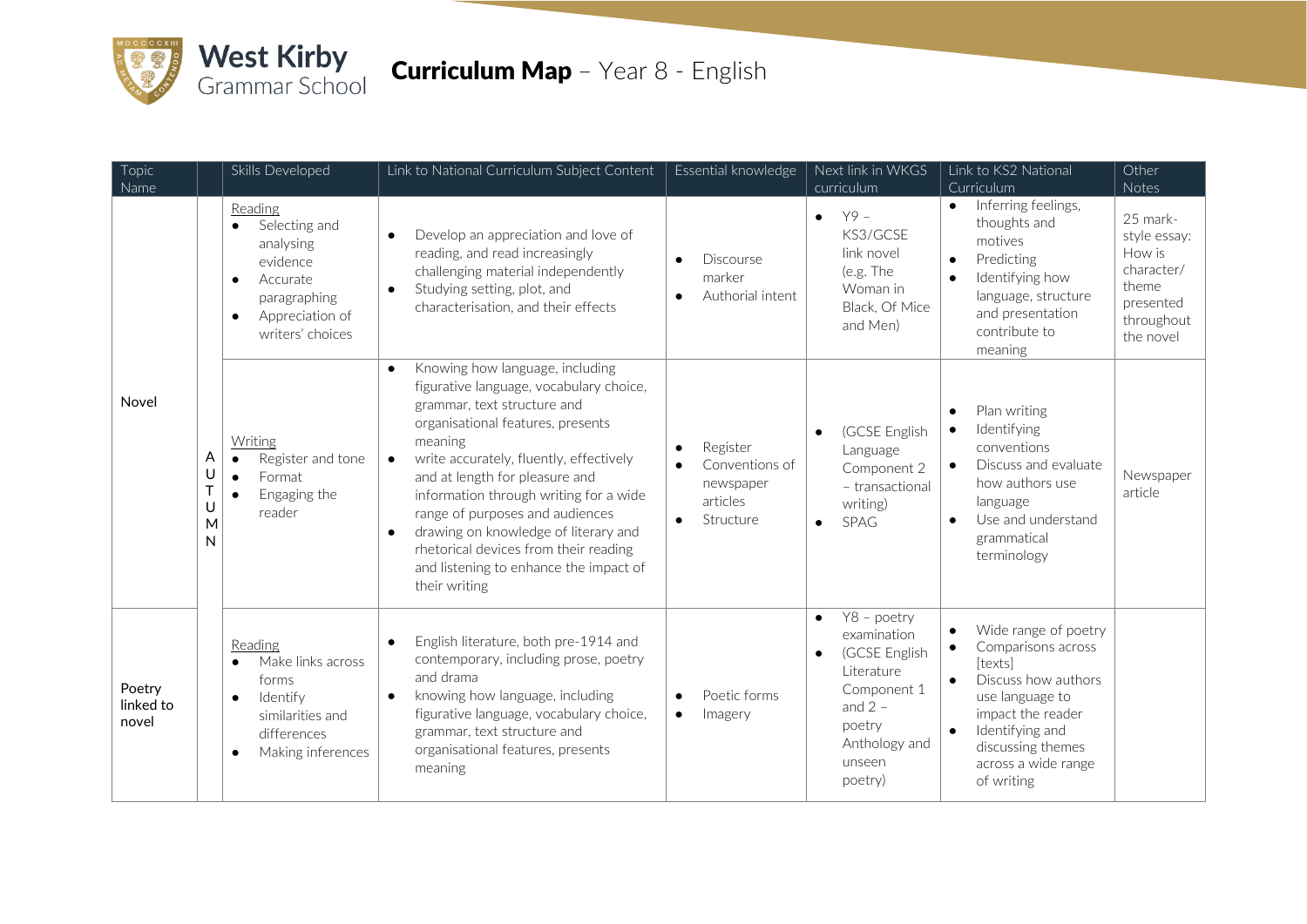

## **Curriculum Map** - Year 8 - English

| Topic                        | Skills Developed                                                                                                                               | Link to National Curriculum Subject Content                                                                                                                                                                                                                                                                                                                                                                                                                                                            | Essential knowledge                                                           | Next link in WKGS                                                                                                                                               | Link to KS2 National                                                                                                                                                                                                                                  | Other                                                                                             |
|------------------------------|------------------------------------------------------------------------------------------------------------------------------------------------|--------------------------------------------------------------------------------------------------------------------------------------------------------------------------------------------------------------------------------------------------------------------------------------------------------------------------------------------------------------------------------------------------------------------------------------------------------------------------------------------------------|-------------------------------------------------------------------------------|-----------------------------------------------------------------------------------------------------------------------------------------------------------------|-------------------------------------------------------------------------------------------------------------------------------------------------------------------------------------------------------------------------------------------------------|---------------------------------------------------------------------------------------------------|
| Name                         |                                                                                                                                                |                                                                                                                                                                                                                                                                                                                                                                                                                                                                                                        |                                                                               | curriculum                                                                                                                                                      | Curriculum                                                                                                                                                                                                                                            | Notes                                                                                             |
| Novel                        | Reading<br>Selecting and<br>analysing<br>evidence<br>Accurate<br>$\bullet$<br>paragraphing<br>Appreciation of<br>$\bullet$<br>writers' choices | Develop an appreciation and love of<br>$\bullet$<br>reading, and read increasingly<br>challenging material independently<br>Studying setting, plot, and<br>$\bullet$<br>characterisation, and their effects                                                                                                                                                                                                                                                                                            | <b>Discourse</b><br>marker<br>Authorial intent                                | $Y9 -$<br>$\bullet$<br>KS3/GCSF<br>link novel<br>(e.g. The<br>Woman in<br>Black, Of Mice<br>and Men)                                                            | Inferring feelings,<br>$\bullet$<br>thoughts and<br>motives<br>Predicting<br>$\bullet$<br>Identifying how<br>$\bullet$<br>language, structure<br>and presentation<br>contribute to<br>meaning                                                         | 25 mark-<br>style essay:<br>How is<br>character/<br>theme<br>presented<br>throughout<br>the novel |
|                              | Writing<br>A<br>Register and tone<br>$\bullet$<br>U<br>Format<br>$\bullet$<br>T<br>Engaging the<br>$\bullet$<br>U<br>reader<br>M<br>N          | Knowing how language, including<br>$\bullet$<br>figurative language, vocabulary choice,<br>grammar, text structure and<br>organisational features, presents<br>meaning<br>write accurately, fluently, effectively<br>$\bullet$<br>and at length for pleasure and<br>information through writing for a wide<br>range of purposes and audiences<br>drawing on knowledge of literary and<br>$\bullet$<br>rhetorical devices from their reading<br>and listening to enhance the impact of<br>their writing | Register<br>$\bullet$<br>Conventions of<br>newspaper<br>articles<br>Structure | (GCSE English<br>$\bullet$<br>Language<br>Component 2<br>- transactional<br>writing)<br><b>SPAG</b>                                                             | Plan writing<br>$\bullet$<br>Identifying<br>$\bullet$<br>conventions<br>Discuss and evaluate<br>$\bullet$<br>how authors use<br>language<br>Use and understand<br>grammatical<br>terminology                                                          | Newspaper<br>article                                                                              |
| Poetry<br>linked to<br>novel | Reading<br>Make links across<br>forms<br>Identify<br>$\bullet$<br>similarities and<br>differences<br>Making inferences<br>$\bullet$            | English literature, both pre-1914 and<br>$\bullet$<br>contemporary, including prose, poetry<br>and drama<br>knowing how language, including<br>$\bullet$<br>figurative language, vocabulary choice,<br>grammar, text structure and<br>organisational features, presents<br>meaning                                                                                                                                                                                                                     | Poetic forms<br>$\bullet$<br>Imagery<br>$\bullet$                             | Y8 - poetry<br>$\bullet$<br>examination<br>(GCSE English<br>$\bullet$<br>Literature<br>Component 1<br>and $2 -$<br>poetry<br>Anthology and<br>unseen<br>poetry) | Wide range of poetry<br>$\bullet$<br>Comparisons across<br>$\bullet$<br>[texts]<br>Discuss how authors<br>$\bullet$<br>use language to<br>impact the reader<br>Identifying and<br>$\bullet$<br>discussing themes<br>across a wide range<br>of writing |                                                                                                   |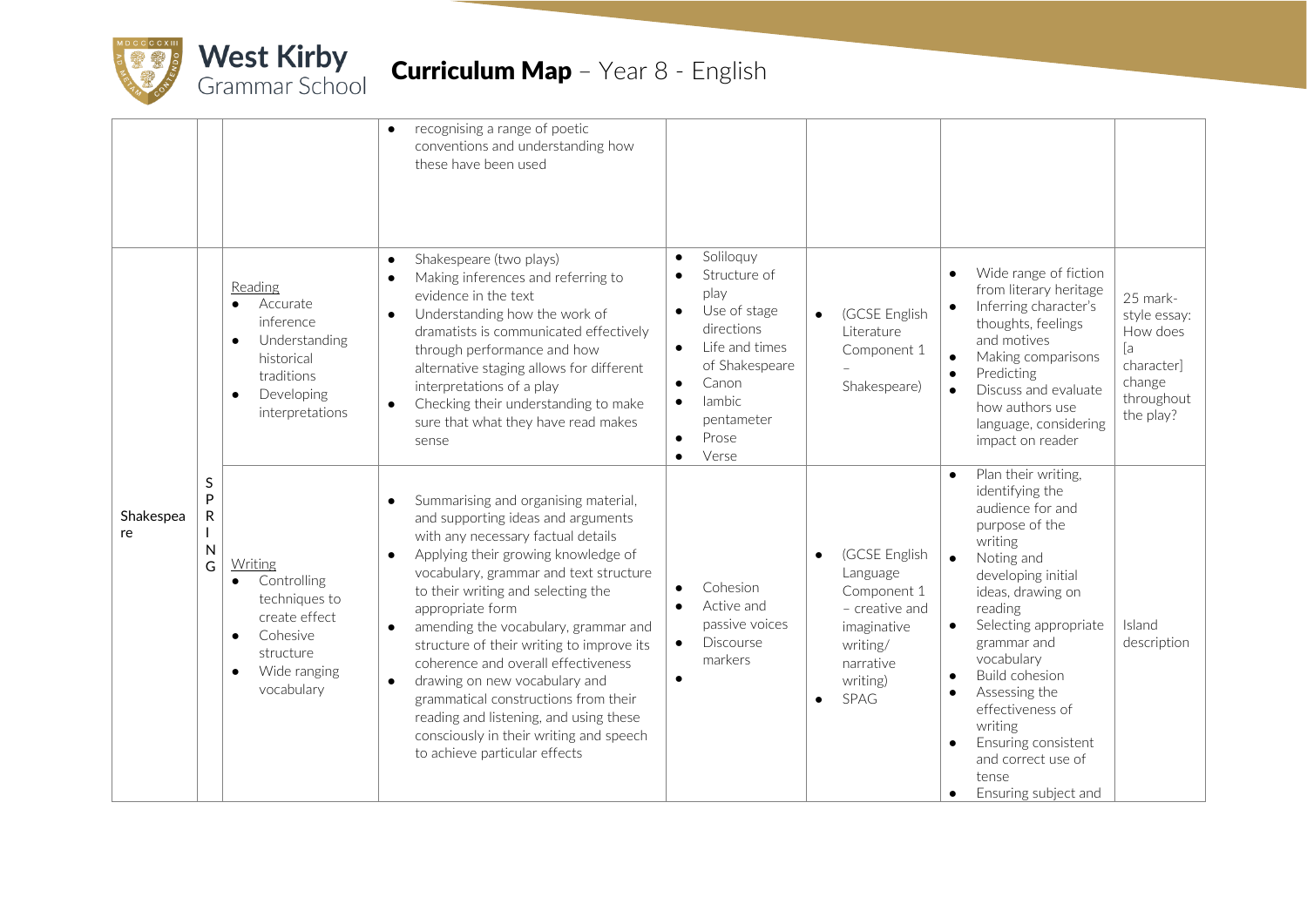

## **Curriculum Map** - Year 8 - English

|                 |                               |                                                                                                                                                        | recognising a range of poetic<br>conventions and understanding how<br>these have been used                                                                                                                                                                                                                                                                                                                                                                                                                                                                                                                                                 |                                                                                                      |                                                                                                                                                        |           |                                                                                                                        |                                     |                                                                                                                                                                                                                                                                                                                                                                          |                                                                                               |
|-----------------|-------------------------------|--------------------------------------------------------------------------------------------------------------------------------------------------------|--------------------------------------------------------------------------------------------------------------------------------------------------------------------------------------------------------------------------------------------------------------------------------------------------------------------------------------------------------------------------------------------------------------------------------------------------------------------------------------------------------------------------------------------------------------------------------------------------------------------------------------------|------------------------------------------------------------------------------------------------------|--------------------------------------------------------------------------------------------------------------------------------------------------------|-----------|------------------------------------------------------------------------------------------------------------------------|-------------------------------------|--------------------------------------------------------------------------------------------------------------------------------------------------------------------------------------------------------------------------------------------------------------------------------------------------------------------------------------------------------------------------|-----------------------------------------------------------------------------------------------|
|                 |                               | Reading<br>Accurate<br>inference<br>Understanding<br>$\bullet$<br>historical<br>traditions<br>Developing<br>$\bullet$<br>interpretations               | Shakespeare (two plays)<br>$\bullet$<br>Making inferences and referring to<br>$\bullet$<br>evidence in the text<br>Understanding how the work of<br>$\bullet$<br>dramatists is communicated effectively<br>through performance and how<br>alternative staging allows for different<br>interpretations of a play<br>Checking their understanding to make<br>$\bullet$<br>sure that what they have read makes<br>sense                                                                                                                                                                                                                       | $\bullet$<br>$\bullet$<br>$\bullet$<br>$\bullet$<br>$\bullet$<br>$\bullet$<br>$\bullet$<br>$\bullet$ | Soliloquy<br>Structure of<br>play<br>Use of stage<br>directions<br>Life and times<br>of Shakespeare<br>Canon<br>lambic<br>pentameter<br>Prose<br>Verse |           | (GCSE English<br>Literature<br>Component 1<br>Shakespeare)                                                             | $\bullet$<br>$\bullet$              | Wide range of fiction<br>from literary heritage<br>Inferring character's<br>thoughts, feelings<br>and motives<br>Making comparisons<br>Predicting<br>Discuss and evaluate<br>how authors use<br>language, considering<br>impact on reader                                                                                                                                | 25 mark-<br>style essay:<br>How does<br>ſa<br>characterl<br>change<br>throughout<br>the play? |
| Shakespea<br>re | S<br>P<br>${\sf R}$<br>N<br>G | Writing<br>Controlling<br>$\bullet$<br>techniques to<br>create effect<br>Cohesive<br>$\bullet$<br>structure<br>Wide ranging<br>$\bullet$<br>vocabulary | Summarising and organising material,<br>$\bullet$<br>and supporting ideas and arguments<br>with any necessary factual details<br>Applying their growing knowledge of<br>$\bullet$<br>vocabulary, grammar and text structure<br>to their writing and selecting the<br>appropriate form<br>amending the vocabulary, grammar and<br>$\bullet$<br>structure of their writing to improve its<br>coherence and overall effectiveness<br>drawing on new vocabulary and<br>$\bullet$<br>grammatical constructions from their<br>reading and listening, and using these<br>consciously in their writing and speech<br>to achieve particular effects | $\bullet$<br>$\bullet$<br>$\bullet$<br>$\bullet$                                                     | Cohesion<br>Active and<br>passive voices<br><b>Discourse</b><br>markers                                                                                | $\bullet$ | (GCSE English<br>Language<br>Component 1<br>- creative and<br>imaginative<br>writing/<br>narrative<br>writing)<br>SPAG | $\bullet$<br>$\bullet$<br>$\bullet$ | Plan their writing,<br>identifying the<br>audience for and<br>purpose of the<br>writing<br>Noting and<br>developing initial<br>ideas, drawing on<br>reading<br>Selecting appropriate<br>grammar and<br>vocabulary<br><b>Build cohesion</b><br>Assessing the<br>effectiveness of<br>writing<br>Ensuring consistent<br>and correct use of<br>tense<br>Ensuring subject and | Island<br>description                                                                         |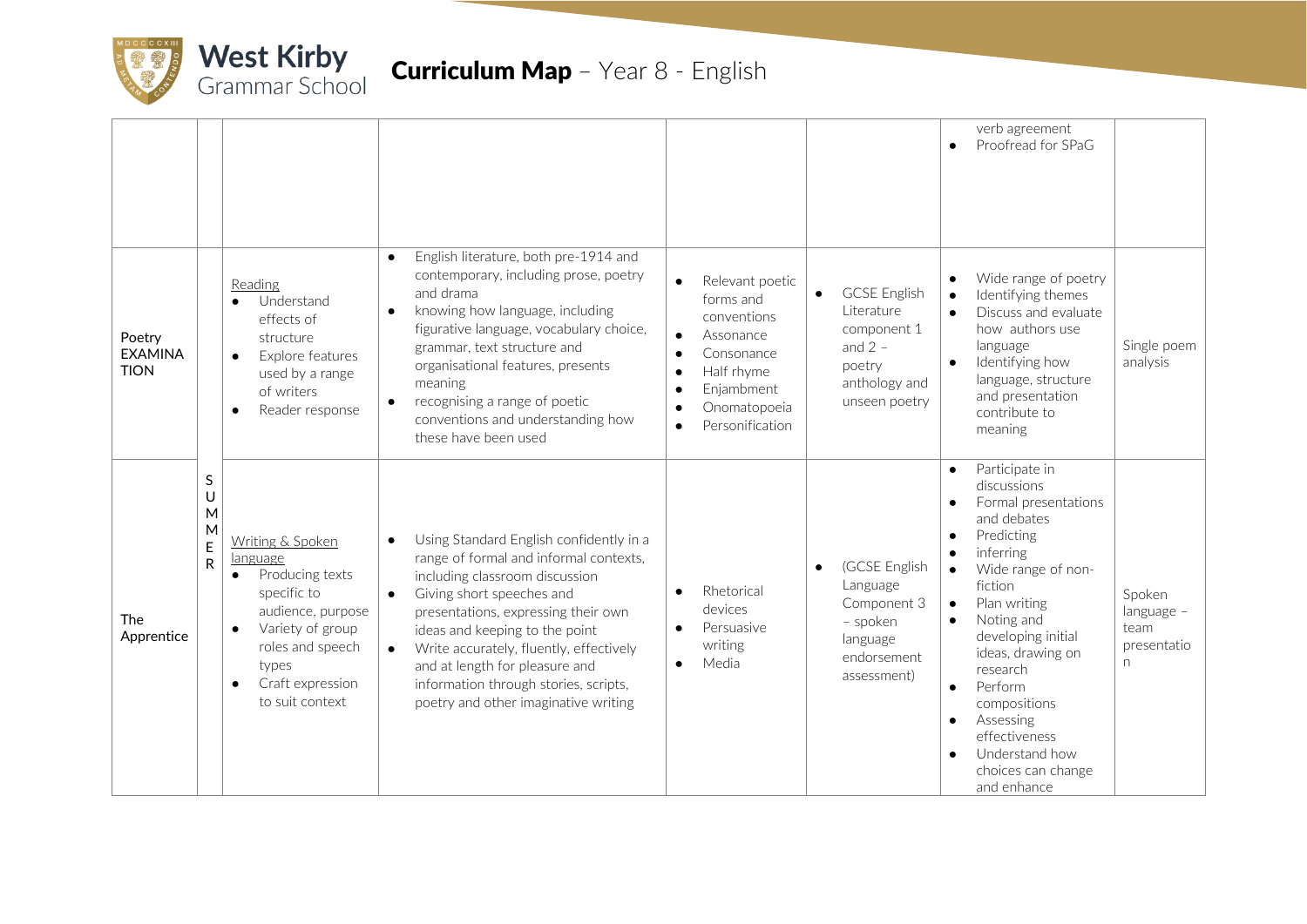

|                                         |                            |                                                                                                                                                                                                       |                                                                                                                                                                                                                                                                                                                                                                                                                                |                                                                                                                                                                                                                                  |                                                                                                                        | verb agreement<br>Proofread for SPaG<br>$\bullet$                                                                                                                                                                                                                                                                                                                                                                                |                                                  |
|-----------------------------------------|----------------------------|-------------------------------------------------------------------------------------------------------------------------------------------------------------------------------------------------------|--------------------------------------------------------------------------------------------------------------------------------------------------------------------------------------------------------------------------------------------------------------------------------------------------------------------------------------------------------------------------------------------------------------------------------|----------------------------------------------------------------------------------------------------------------------------------------------------------------------------------------------------------------------------------|------------------------------------------------------------------------------------------------------------------------|----------------------------------------------------------------------------------------------------------------------------------------------------------------------------------------------------------------------------------------------------------------------------------------------------------------------------------------------------------------------------------------------------------------------------------|--------------------------------------------------|
| Poetry<br><b>EXAMINA</b><br><b>TION</b> |                            | Reading<br>Understand<br>effects of<br>structure<br>Explore features<br>$\bullet$<br>used by a range<br>of writers<br>Reader response<br>$\bullet$                                                    | English literature, both pre-1914 and<br>$\bullet$<br>contemporary, including prose, poetry<br>and drama<br>knowing how language, including<br>figurative language, vocabulary choice,<br>grammar, text structure and<br>organisational features, presents<br>meaning<br>recognising a range of poetic<br>conventions and understanding how<br>these have been used                                                            | Relevant poetic<br>$\bullet$<br>forms and<br>conventions<br>Assonance<br>$\bullet$<br>Consonance<br>$\bullet$<br>Half rhyme<br>$\bullet$<br>Enjambment<br>$\bullet$<br>Onomatopoeia<br>$\bullet$<br>Personification<br>$\bullet$ | <b>GCSE English</b><br>$\bullet$<br>Literature<br>component 1<br>and $2 -$<br>poetry<br>anthology and<br>unseen poetry | Wide range of poetry<br>$\bullet$<br>Identifying themes<br>$\bullet$<br>Discuss and evaluate<br>how authors use<br>language<br>Identifying how<br>language, structure<br>and presentation<br>contribute to<br>meaning                                                                                                                                                                                                            | Single poem<br>analysis                          |
| <b>The</b><br>Apprentice                | S<br>U<br>M<br>M<br>E<br>R | Writing & Spoken<br>language<br>Producing texts<br>specific to<br>audience, purpose<br>Variety of group<br>$\bullet$<br>roles and speech<br>types<br>Craft expression<br>$\bullet$<br>to suit context | Using Standard English confidently in a<br>$\bullet$<br>range of formal and informal contexts,<br>including classroom discussion<br>Giving short speeches and<br>$\bullet$<br>presentations, expressing their own<br>ideas and keeping to the point<br>Write accurately, fluently, effectively<br>$\bullet$<br>and at length for pleasure and<br>information through stories, scripts,<br>poetry and other imaginative writing | Rhetorical<br>$\bullet$<br>devices<br>Persuasive<br>$\bullet$<br>writing<br>Media<br>$\bullet$                                                                                                                                   | (GCSE English<br>$\bullet$<br>Language<br>Component 3<br>- spoken<br>language<br>endorsement<br>assessment)            | Participate in<br>$\bullet$<br>discussions<br>Formal presentations<br>and debates<br>Predicting<br>$\bullet$<br>inferring<br>$\bullet$<br>Wide range of non-<br>fiction<br>Plan writing<br>$\bullet$<br>Noting and<br>developing initial<br>ideas, drawing on<br>research<br>Perform<br>$\bullet$<br>compositions<br>Assessing<br>$\bullet$<br>effectiveness<br>Understand how<br>$\bullet$<br>choices can change<br>and enhance | Spoken<br>language -<br>team<br>presentatio<br>n |